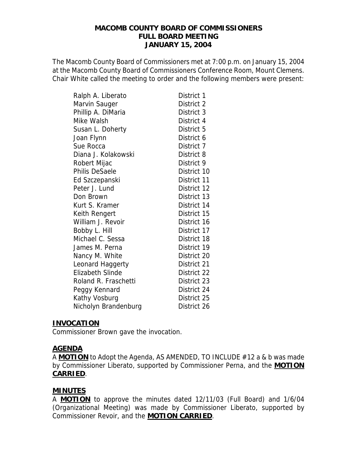#### **MACOMB COUNTY BOARD OF COMMISSIONERS FULL BOARD MEETING JANUARY 15, 2004**

The Macomb County Board of Commissioners met at 7:00 p.m. on January 15, 2004 at the Macomb County Board of Commissioners Conference Room, Mount Clemens. Chair White called the meeting to order and the following members were present:

| Ralph A. Liberato       | District 1  |
|-------------------------|-------------|
| Marvin Sauger           | District 2  |
| Phillip A. DiMaria      | District 3  |
| Mike Walsh              | District 4  |
| Susan L. Doherty        | District 5  |
| Joan Flynn              | District 6  |
| Sue Rocca               | District 7  |
| Diana J. Kolakowski     | District 8  |
| Robert Mijac            | District 9  |
| Philis DeSaele          | District 10 |
| Ed Szczepanski          | District 11 |
| Peter J. Lund           | District 12 |
| Don Brown               | District 13 |
| Kurt S. Kramer          | District 14 |
| Keith Rengert           | District 15 |
| William J. Revoir       | District 16 |
| Bobby L. Hill           | District 17 |
| Michael C. Sessa        | District 18 |
| James M. Perna          | District 19 |
| Nancy M. White          | District 20 |
| Leonard Haggerty        | District 21 |
| <b>Elizabeth Slinde</b> | District 22 |
| Roland R. Fraschetti    | District 23 |
| Peggy Kennard           | District 24 |
| Kathy Vosburg           | District 25 |
| Nicholyn Brandenburg    | District 26 |

#### **INVOCATION**

Commissioner Brown gave the invocation.

#### **AGENDA**

A **MOTION** to Adopt the Agenda, AS AMENDED, TO INCLUDE #12 a & b was made by Commissioner Liberato, supported by Commissioner Perna, and the **MOTION CARRIED**.

### **MINUTES**

A **MOTION** to approve the minutes dated 12/11/03 (Full Board) and 1/6/04 (Organizational Meeting) was made by Commissioner Liberato, supported by Commissioner Revoir, and the **MOTION CARRIED**.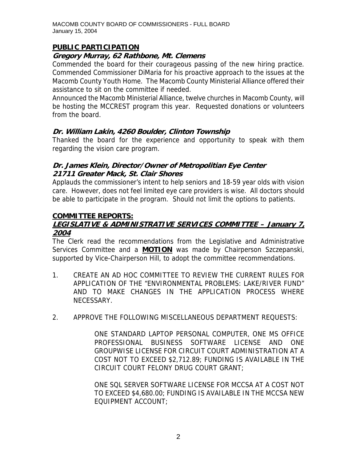# **PUBLIC PARTICIPATION**

### **Gregory Murray, 62 Rathbone, Mt. Clemens**

Commended the board for their courageous passing of the new hiring practice. Commended Commissioner DiMaria for his proactive approach to the issues at the Macomb County Youth Home. The Macomb County Ministerial Alliance offered their assistance to sit on the committee if needed.

Announced the Macomb Ministerial Alliance, twelve churches in Macomb County, will be hosting the MCCREST program this year. Requested donations or volunteers from the board.

# **Dr. William Lakin, 4260 Boulder, Clinton Township**

Thanked the board for the experience and opportunity to speak with them regarding the vision care program.

### **Dr. James Klein, Director/Owner of Metropolitian Eye Center 21711 Greater Mack, St. Clair Shores**

Applauds the commissioner's intent to help seniors and 18-59 year olds with vision care. However, does not feel limited eye care providers is wise. All doctors should be able to participate in the program. Should not limit the options to patients.

# **COMMITTEE REPORTS:**

# **LEGISLATIVE & ADMINISTRATIVE SERVICES COMMITTEE – January 7, 2004**

The Clerk read the recommendations from the Legislative and Administrative Services Committee and a **MOTION** was made by Chairperson Szczepanski, supported by Vice-Chairperson Hill, to adopt the committee recommendations.

- 1. CREATE AN AD HOC COMMITTEE TO REVIEW THE CURRENT RULES FOR APPLICATION OF THE "ENVIRONMENTAL PROBLEMS: LAKE/RIVER FUND" AND TO MAKE CHANGES IN THE APPLICATION PROCESS WHERE NECESSARY.
- 2. APPROVE THE FOLLOWING MISCELLANEOUS DEPARTMENT REQUESTS:

ONE STANDARD LAPTOP PERSONAL COMPUTER, ONE MS OFFICE PROFESSIONAL BUSINESS SOFTWARE LICENSE AND ONE GROUPWISE LICENSE FOR CIRCUIT COURT ADMINISTRATION AT A COST NOT TO EXCEED \$2,712.89; FUNDING IS AVAILABLE IN THE CIRCUIT COURT FELONY DRUG COURT GRANT;

ONE SQL SERVER SOFTWARE LICENSE FOR MCCSA AT A COST NOT TO EXCEED \$4,680.00; FUNDING IS AVAILABLE IN THE MCCSA NEW EQUIPMENT ACCOUNT;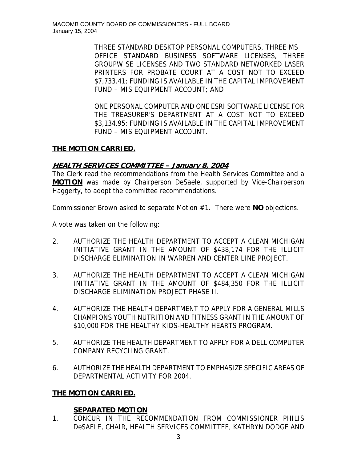THREE STANDARD DESKTOP PERSONAL COMPUTERS, THREE MS OFFICE STANDARD BUSINESS SOFTWARE LICENSES, THREE GROUPWISE LICENSES AND TWO STANDARD NETWORKED LASER PRINTERS FOR PROBATE COURT AT A COST NOT TO EXCEED \$7,733.41; FUNDING IS AVAILABLE IN THE CAPITAL IMPROVEMENT FUND – MIS EQUIPMENT ACCOUNT; AND

ONE PERSONAL COMPUTER AND ONE ESRI SOFTWARE LICENSE FOR THE TREASURER'S DEPARTMENT AT A COST NOT TO EXCEED \$3,134.95; FUNDING IS AVAILABLE IN THE CAPITAL IMPROVEMENT FUND – MIS EQUIPMENT ACCOUNT.

# **THE MOTION CARRIED.**

# **HEALTH SERVICES COMMITTEE – January 8, 2004**

The Clerk read the recommendations from the Health Services Committee and a **MOTION** was made by Chairperson DeSaele, supported by Vice-Chairperson Haggerty, to adopt the committee recommendations.

Commissioner Brown asked to separate Motion #1. There were **NO** objections.

A vote was taken on the following:

- 2. AUTHORIZE THE HEALTH DEPARTMENT TO ACCEPT A CLEAN MICHIGAN INITIATIVE GRANT IN THE AMOUNT OF \$438,174 FOR THE ILLICIT DISCHARGE ELIMINATION IN WARREN AND CENTER LINE PROJECT.
- 3. AUTHORIZE THE HEALTH DEPARTMENT TO ACCEPT A CLEAN MICHIGAN INITIATIVE GRANT IN THE AMOUNT OF \$484,350 FOR THE ILLICIT DISCHARGE ELIMINATION PROJECT PHASE II.
- 4. AUTHORIZE THE HEALTH DEPARTMENT TO APPLY FOR A GENERAL MILLS CHAMPIONS YOUTH NUTRITION AND FITNESS GRANT IN THE AMOUNT OF \$10,000 FOR THE HEALTHY KIDS-HEALTHY HEARTS PROGRAM.
- 5. AUTHORIZE THE HEALTH DEPARTMENT TO APPLY FOR A DELL COMPUTER COMPANY RECYCLING GRANT.
- 6. AUTHORIZE THE HEALTH DEPARTMENT TO EMPHASIZE SPECIFIC AREAS OF DEPARTMENTAL ACTIVITY FOR 2004.

# **THE MOTION CARRIED.**

# **SEPARATED MOTION**

1. CONCUR IN THE RECOMMENDATION FROM COMMISSIONER PHILIS DeSAELE, CHAIR, HEALTH SERVICES COMMITTEE, KATHRYN DODGE AND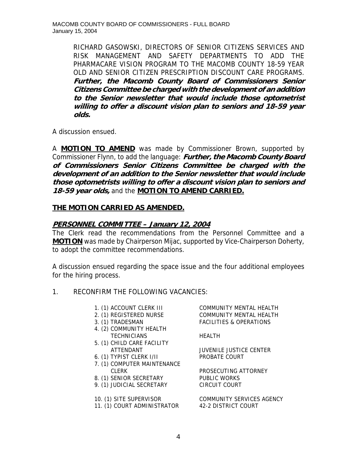**i Citizens Comm ttee be charged with the development of an addition**  RICHARD GASOWSKI, DIRECTORS OF SENIOR CITIZENS SERVICES AND RISK MANAGEMENT AND SAFETY DEPARTMENTS TO ADD THE PHARMACARE VISION PROGRAM TO THE MACOMB COUNTY 18-59 YEAR OLD AND SENIOR CITIZEN PRESCRIPTION DISCOUNT CARE PROGRAMS. **Further, the Macomb County Board of Commissioners Senior to the Senior newsletter that would include those optometrist willing to offer a discount vision plan to seniors and 18-59 year olds.**

A discussion ensued.

A **MOTION TO AMEND** was made by Commissioner Brown, supported by Commissioner Flynn, to add the language: **Further, the Macomb County Board of Commissioners Senior Citizens Committee be charged with the development of an addition to the Senior newsletter that would include those optometrists willing to offer a discount vision plan to seniors and 18-59 year olds,** and the **MOTION TO AMEND CARRIED.**

#### **THE MOTION CARRIED AS AMENDED.**

#### **PERSONNEL COMMITTEE – January 12, 2004**

The Clerk read the recommendations from the Personnel Committee and a **MOTION** was made by Chairperson Mijac, supported by Vice-Chairperson Doherty, to adopt the committee recommendations.

A discussion ensued regarding the space issue and the four additional employees for the hiring process.

#### 1. RECONFIRM THE FOLLOWING VACANCIES:

- 
- 
- 
- 4. (2) COMMUNITY HEALTH TECHNICIANS HEALTH
- 5. (1) CHILD CARE FACILITY
- 6. (1) TYPIST CLERK I/II PROBATE COURT
- 7. (1) COMPUTER MAINTENANCE CLERK **PROSECUTING ATTORNEY**
- 8. (1) SENIOR SECRETARY PUBLIC WORKS
- 9. (1) JUDICIAL SECRETARY CIRCUIT COURT

11. (1) COURT ADMINISTRATOR 42-2 DISTRICT COURT

1. (1) ACCOUNT CLERK III COMMUNITY MENTAL HEALTH 2. (1) REGISTERED NURSE COMMUNITY MENTAL HEALTH 3. (1) TRADESMAN FACILITIES & OPERATIONS

ATTENDANT JUVENILE JUSTICE CENTER

10. (1) SITE SUPERVISOR COMMUNITY SERVICES AGENCY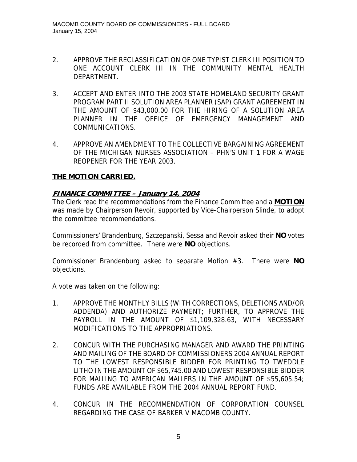- 2. APPROVE THE RECLASSIFICATION OF ONE TYPIST CLERK III POSITION TO ONE ACCOUNT CLERK III IN THE COMMUNITY MENTAL HEALTH DEPARTMENT.
- 3. ACCEPT AND ENTER INTO THE 2003 STATE HOMELAND SECURITY GRANT PROGRAM PART II SOLUTION AREA PLANNER (SAP) GRANT AGREEMENT IN THE AMOUNT OF \$43,000.00 FOR THE HIRING OF A SOLUTION AREA PLANNER IN THE OFFICE OF EMERGENCY MANAGEMENT AND COMMUNICATIONS.
- 4. APPROVE AN AMENDMENT TO THE COLLECTIVE BARGAINING AGREEMENT OF THE MICHIGAN NURSES ASSOCIATION – PHN'S UNIT 1 FOR A WAGE REOPENER FOR THE YEAR 2003.

### **THE MOTION CARRIED.**

### **FINANCE COMMITTEE – January 14, 2004**

The Clerk read the recommendations from the Finance Committee and a **MOTION** was made by Chairperson Revoir, supported by Vice-Chairperson Slinde, to adopt the committee recommendations.

Commissioners' Brandenburg, Szczepanski, Sessa and Revoir asked their **NO** votes be recorded from committee. There were **NO** objections.

Commissioner Brandenburg asked to separate Motion #3. There were **NO** objections.

A vote was taken on the following:

- 1. APPROVE THE MONTHLY BILLS (WITH CORRECTIONS, DELETIONS AND/OR ADDENDA) AND AUTHORIZE PAYMENT; FURTHER, TO APPROVE THE PAYROLL IN THE AMOUNT OF \$1,109,328.63, WITH NECESSARY MODIFICATIONS TO THE APPROPRIATIONS.
- 2. CONCUR WITH THE PURCHASING MANAGER AND AWARD THE PRINTING AND MAILING OF THE BOARD OF COMMISSIONERS 2004 ANNUAL REPORT TO THE LOWEST RESPONSIBLE BIDDER FOR PRINTING TO TWEDDLE LITHO IN THE AMOUNT OF \$65,745.00 AND LOWEST RESPONSIBLE BIDDER FOR MAILING TO AMERICAN MAILERS IN THE AMOUNT OF \$55,605.54; FUNDS ARE AVAILABLE FROM THE 2004 ANNUAL REPORT FUND.
- 4. CONCUR IN THE RECOMMENDATION OF CORPORATION COUNSEL REGARDING THE CASE OF BARKER V MACOMB COUNTY.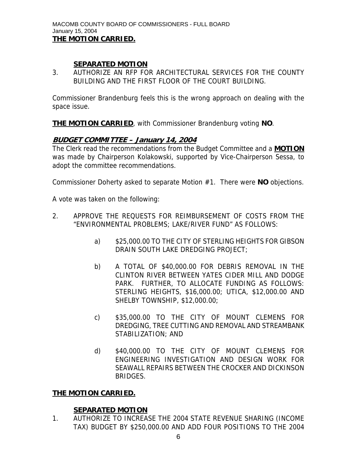### **SEPARATED MOTION**

3. AUTHORIZE AN RFP FOR ARCHITECTURAL SERVICES FOR THE COUNTY BUILDING AND THE FIRST FLOOR OF THE COURT BUILDING.

Commissioner Brandenburg feels this is the wrong approach on dealing with the space issue.

**THE MOTION CARRIED**, with Commissioner Brandenburg voting **NO**.

#### **BUDGET COMMITTEE – January 14, 2004**

The Clerk read the recommendations from the Budget Committee and a **MOTION** was made by Chairperson Kolakowski, supported by Vice-Chairperson Sessa, to adopt the committee recommendations.

Commissioner Doherty asked to separate Motion #1. There were **NO** objections.

A vote was taken on the following:

- 2. APPROVE THE REQUESTS FOR REIMBURSEMENT OF COSTS FROM THE "ENVIRONMENTAL PROBLEMS; LAKE/RIVER FUND" AS FOLLOWS:
	- a) \$25,000.00 TO THE CITY OF STERLING HEIGHTS FOR GIBSON DRAIN SOUTH LAKE DREDGING PROJECT;
	- b) A TOTAL OF \$40,000.00 FOR DEBRIS REMOVAL IN THE CLINTON RIVER BETWEEN YATES CIDER MILL AND DODGE PARK. FURTHER, TO ALLOCATE FUNDING AS FOLLOWS: STERLING HEIGHTS, \$16,000.00; UTICA, \$12,000.00 AND SHELBY TOWNSHIP, \$12,000.00;
	- c) \$35,000.00 TO THE CITY OF MOUNT CLEMENS FOR DREDGING, TREE CUTTING AND REMOVAL AND STREAMBANK STABILIZATION; AND
	- d) \$40,000.00 TO THE CITY OF MOUNT CLEMENS FOR ENGINEERING INVESTIGATION AND DESIGN WORK FOR SEAWALL REPAIRS BETWEEN THE CROCKER AND DICKINSON BRIDGES.

### **THE MOTION CARRIED.**

### **SEPARATED MOTION**

1. AUTHORIZE TO INCREASE THE 2004 STATE REVENUE SHARING (INCOME TAX) BUDGET BY \$250,000.00 AND ADD FOUR POSITIONS TO THE 2004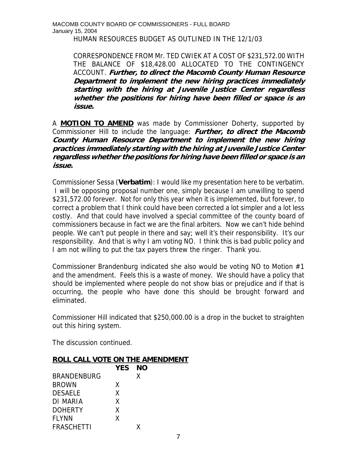MACOMB COUNTY BOARD OF COMMISSIONERS - FULL BOARD January 15, 2004

HUMAN RESOURCES BUDGET AS OUTLINED IN THE 12/1/03

CORRESPONDENCE FROM Mr. TED CWIEK AT A COST OF \$231,572.00 WITH THE BALANCE OF \$18,428.00 ALLOCATED TO THE CONTINGENCY ACCOUNT. **Further, to direct the Macomb County Human Resource Department to implement the new hiring practices immediately starting with the hiring at Juvenile Justice Center regardless whether the positions for hiring have been filled or space is an issue.** 

A **MOTION TO AMEND** was made by Commissioner Doherty, supported by Commissioner Hill to include the language: **Further, to direct the Macomb County Human Resource Department to implement the new hiring practices immediately starting with the hiring at Juvenile Justice Center regardless whether the positions for hiring have been filled or space is an issue.** 

Commissioner Sessa (**Verbatim**): I would like my presentation here to be verbatim. I will be opposing proposal number one, simply because I am unwilling to spend \$231,572.00 forever. Not for only this year when it is implemented, but forever, to correct a problem that I think could have been corrected a lot simpler and a lot less costly. And that could have involved a special committee of the county board of commissioners because in fact we are the final arbiters. Now we can't hide behind people. We can't put people in there and say; well it's their responsibility. It's our responsibility. And that is why I am voting NO. I think this is bad public policy and I am not willing to put the tax payers threw the ringer. Thank you.

Commissioner Brandenburg indicated she also would be voting NO to Motion #1 and the amendment. Feels this is a waste of money. We should have a policy that should be implemented where people do not show bias or prejudice and if that is occurring, the people who have done this should be brought forward and eliminated.

Commissioner Hill indicated that \$250,000.00 is a drop in the bucket to straighten out this hiring system.

The discussion continued.

#### **ROLL CALL VOTE ON THE AMENDMENT**

|                    | <b>YES</b> | NΟ |  |
|--------------------|------------|----|--|
| <b>BRANDENBURG</b> |            | X  |  |
| <b>BROWN</b>       | X          |    |  |
| <b>DESAELE</b>     | X          |    |  |
| DI MARIA           | X          |    |  |
| <b>DOHERTY</b>     | x          |    |  |
| <b>FLYNN</b>       | X          |    |  |
| <b>FRASCHETTI</b>  |            | x  |  |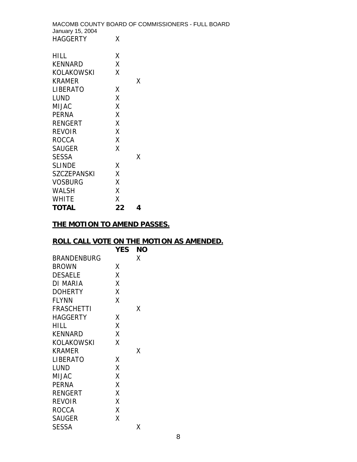MACOMB COUNTY BOARD OF COMMISSIONERS - FULL BOARD January 15, 2004 HAGGERTY X HILL X KENNARD X KOLAKOWSKI X KRAMER X LIBERATO LUND X

| <b>TOTAL</b>       | 22 | 4 |
|--------------------|----|---|
| <b>WHITE</b>       | Χ  |   |
| <b>WALSH</b>       | χ  |   |
| <b>VOSBURG</b>     | χ  |   |
| <b>SZCZEPANSKI</b> | χ  |   |
| <b>SLINDE</b>      | χ  |   |
| <b>SESSA</b>       |    | x |
| <b>SAUGER</b>      | X  |   |
| <b>ROCCA</b>       | X  |   |
| <b>REVOIR</b>      | χ  |   |
| <b>RENGERT</b>     | χ  |   |
| <b>PERNA</b>       | χ  |   |
| <b>MIJAC</b>       | χ  |   |

### **THE MOTION TO AMEND PASSES.**

#### **ROLL CALL VOTE ON THE MOTION AS AMENDED.**

|                    | <b>YES</b> | ΝO |  |
|--------------------|------------|----|--|
| <b>BRANDENBURG</b> |            | x  |  |
| <b>BROWN</b>       | x          |    |  |
| <b>DESAELE</b>     | χ          |    |  |
| DI MARIA           | Χ          |    |  |
| <b>DOHERTY</b>     | χ          |    |  |
| <b>FLYNN</b>       | χ          |    |  |
| <b>FRASCHETTI</b>  |            | x  |  |
| <b>HAGGERTY</b>    | x          |    |  |
| HILL               | χ          |    |  |
| <b>KENNARD</b>     | Χ          |    |  |
| KOLAKOWSKI         | χ          |    |  |
| <b>KRAMER</b>      |            | χ  |  |
| LIBERATO           | x          |    |  |
| LUND               | Χ          |    |  |
| <b>MIJAC</b>       | Χ          |    |  |
| PERNA              | Χ          |    |  |
| <b>RENGERT</b>     | Χ          |    |  |
| <b>REVOIR</b>      | χ          |    |  |
| <b>ROCCA</b>       | X          |    |  |
| <b>SAUGER</b>      | χ          |    |  |
| SESSA              |            | x  |  |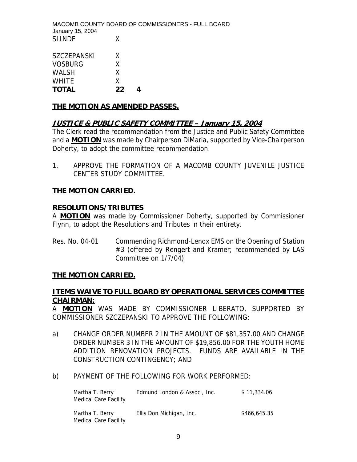MACOMB COUNTY BOARD OF COMMISSIONERS - FULL BOARD January 15, 2004 SLINDE X

| <b>SZCZEPANSKI</b> | X  |   |
|--------------------|----|---|
| VOSBURG            | X  |   |
| <b>WALSH</b>       | X  |   |
| <b>WHITE</b>       | X  |   |
| <b>TOTAL</b>       | 22 | Δ |

### **THE MOTION AS AMENDED PASSES.**

### **JUSTICE & PUBLIC SAFETY COMMITTEE – January 15, 2004**

The Clerk read the recommendation from the Justice and Public Safety Committee and a **MOTION** was made by Chairperson DiMaria, supported by Vice-Chairperson Doherty, to adopt the committee recommendation.

1. APPROVE THE FORMATION OF A MACOMB COUNTY JUVENILE JUSTICE CENTER STUDY COMMITTEE.

#### **THE MOTION CARRIED.**

#### **RESOLUTIONS/TRIBUTES**

A **MOTION** was made by Commissioner Doherty, supported by Commissioner Flynn, to adopt the Resolutions and Tributes in their entirety.

Res. No. 04-01 Commending Richmond-Lenox EMS on the Opening of Station #3 (offered by Rengert and Kramer; recommended by LAS Committee on 1/7/04)

#### **THE MOTION CARRIED.**

#### **ITEMS WAIVE TO FULL BOARD BY OPERATIONAL SERVICES COMMITTEE CHAIRMAN:**

A **MOTION** WAS MADE BY COMMISSIONER LIBERATO, SUPPORTED BY COMMISSIONER SZCZEPANSKI TO APPROVE THE FOLLOWING:

- a) CHANGE ORDER NUMBER 2 IN THE AMOUNT OF \$81,357.00 AND CHANGE ORDER NUMBER 3 IN THE AMOUNT OF \$19,856.00 FOR THE YOUTH HOME ADDITION RENOVATION PROJECTS. FUNDS ARE AVAILABLE IN THE CONSTRUCTION CONTINGENCY; AND
- b) PAYMENT OF THE FOLLOWING FOR WORK PERFORMED:

| Martha T. Berry<br><b>Medical Care Facility</b> | Edmund London & Assoc., Inc. | \$11.334.06  |
|-------------------------------------------------|------------------------------|--------------|
| Martha T. Berry<br>Medical Care Facility        | Ellis Don Michigan, Inc.     | \$466,645.35 |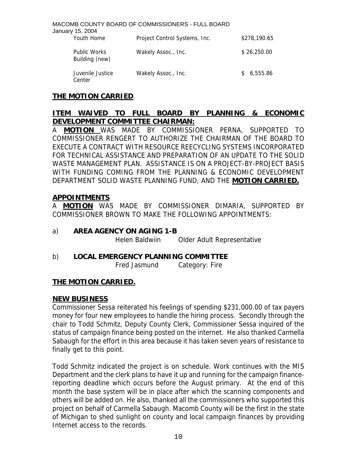MACOMB COUNTY BOARD OF COMMISSIONERS - FULL BOARD January 15, 2004 Youth Home Project Control Systems, Inc. \$278,190.65 Public Works Wakely Assoc., Inc.  $$26,250.00$  Building (new) Juvenile Justice Wakely Assoc., Inc.  $$6,555.86$ Center

#### **THE MOTION CARRIED**.

## **ITEM WAIVED TO FULL BOARD BY PLANNING & ECONOMIC DEVELOPMENT COMMITTEE CHAIRMAN:**

A **MOTION** WAS MADE BY COMMISSIONER PERNA, SUPPORTED TO COMMISSIONER RENGERT TO AUTHORIZE THE CHAIRMAN OF THE BOARD TO EXECUTE A CONTRACT WITH RESOURCE REECYCLING SYSTEMS INCORPORATED FOR TECHNICAL ASSISTANCE AND PREPARATION OF AN UPDATE TO THE SOLID WASTE MANAGEMENT PLAN. ASSISTANCE IS ON A PROJECT-BY-PROJECT BASIS WITH FUNDING COMING FROM THE PLANNING & ECONOMIC DEVELOPMENT DEPARTMENT SOLID WASTE PLANNING FUND, AND THE **MOTION CARRIED.**

#### **APPOINTMENTS**

A **MOTION** WAS MADE BY COMMISSIONER DIMARIA, SUPPORTED BY COMMISSIONER BROWN TO MAKE THE FOLLOWING APPOINTMENTS:

a) **AREA AGENCY ON AGING 1-B**

Helen Baldwiin Older Adult Representative

b) **LOCAL EMERGENCY PLANNING COMMITTEE** 

Fred Jasmund Category: Fire

### **THE MOTION CARRIED.**

#### **NEW BUSINESS**

Commissioner Sessa reiterated his feelings of spending \$231,000.00 of tax payers money for four new employees to handle the hiring process. Secondly through the chair to Todd Schmitz, Deputy County Clerk, Commissioner Sessa inquired of the status of campaign finance being posted on the internet. He also thanked Carmella Sabaugh for the effort in this area because it has taken seven years of resistance to finally get to this point.

Todd Schmitz indicated the project is on schedule. Work continues with the MIS Department and the clerk plans to have it up and running for the campaign financereporting deadline which occurs before the August primary. At the end of this month the base system will be in place after which the scanning components and others will be added on. He also, thanked all the commissioners who supported this project on behalf of Carmella Sabaugh. Macomb County will be the first in the state of Michigan to shed sunlight on county and local campaign finances by providing Internet access to the records.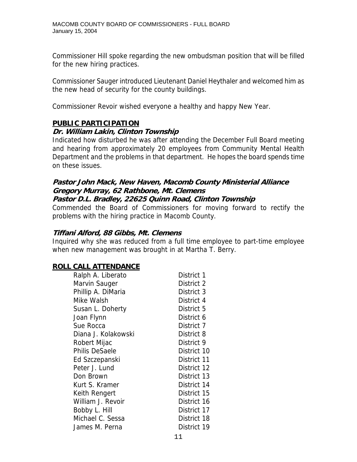Commissioner Hill spoke regarding the new ombudsman position that will be filled for the new hiring practices.

Commissioner Sauger introduced Lieutenant Daniel Heythaler and welcomed him as the new head of security for the county buildings.

Commissioner Revoir wished everyone a healthy and happy New Year.

### **PUBLIC PARTICIPATION**

#### **Dr. William Lakin, Clinton Township**

Indicated how disturbed he was after attending the December Full Board meeting and hearing from approximately 20 employees from Community Mental Health Department and the problems in that department. He hopes the board spends time on these issues.

# **Pastor John Mack, New Haven, Macomb County Ministerial Alliance Gregory Murray, 62 Rathbone, Mt. Clemens**

#### **Pastor D.L. Bradley, 22625 Quinn Road, Clinton Township**

Commended the Board of Commissioners for moving forward to rectify the problems with the hiring practice in Macomb County.

#### **Tiffani Alford, 88 Gibbs, Mt. Clemens**

Inquired why she was reduced from a full time employee to part-time employee when new management was brought in at Martha T. Berry.

### **ROLL CALL ATTENDANCE**

| Ralph A. Liberato     | District 1  |
|-----------------------|-------------|
| Marvin Sauger         | District 2  |
| Phillip A. DiMaria    | District 3  |
| Mike Walsh            | District 4  |
| Susan L. Doherty      | District 5  |
| Joan Flynn            | District 6  |
| Sue Rocca             | District 7  |
| Diana J. Kolakowski   | District 8  |
| Robert Mijac          | District 9  |
| <b>Philis DeSaele</b> | District 10 |
| Ed Szczepanski        | District 11 |
| Peter J. Lund         | District 12 |
| Don Brown             | District 13 |
| Kurt S. Kramer        | District 14 |
| Keith Rengert         | District 15 |
| William J. Revoir     | District 16 |
| Bobby L. Hill         | District 17 |
| Michael C. Sessa      | District 18 |
| James M. Perna        | District 19 |